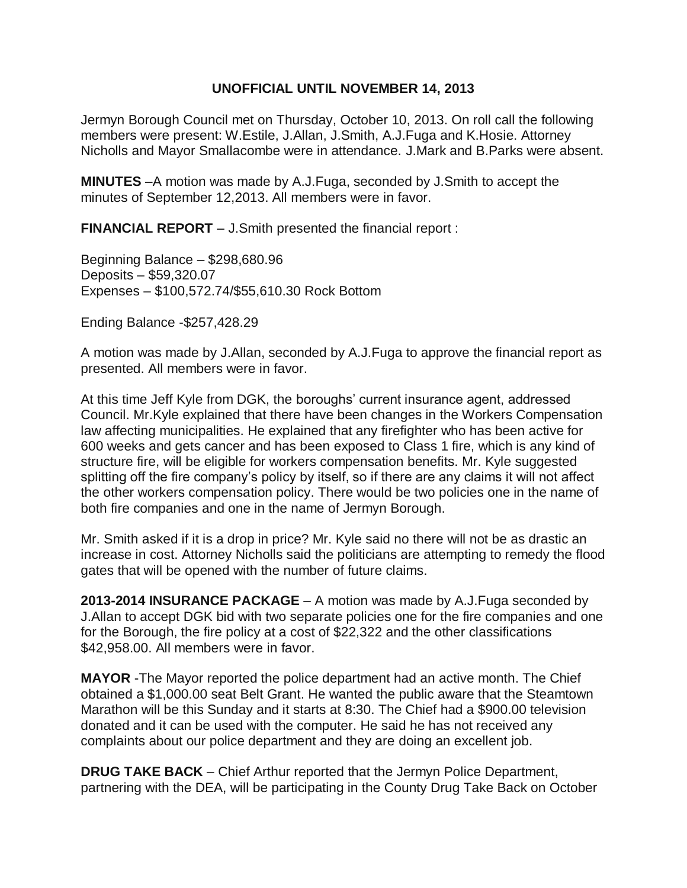## **UNOFFICIAL UNTIL NOVEMBER 14, 2013**

Jermyn Borough Council met on Thursday, October 10, 2013. On roll call the following members were present: W.Estile, J.Allan, J.Smith, A.J.Fuga and K.Hosie. Attorney Nicholls and Mayor Smallacombe were in attendance. J.Mark and B.Parks were absent.

**MINUTES** –A motion was made by A.J.Fuga, seconded by J.Smith to accept the minutes of September 12,2013. All members were in favor.

**FINANCIAL REPORT** – J.Smith presented the financial report :

Beginning Balance – \$298,680.96 Deposits – \$59,320.07 Expenses – \$100,572.74/\$55,610.30 Rock Bottom

Ending Balance -\$257,428.29

A motion was made by J.Allan, seconded by A.J.Fuga to approve the financial report as presented. All members were in favor.

At this time Jeff Kyle from DGK, the boroughs' current insurance agent, addressed Council. Mr.Kyle explained that there have been changes in the Workers Compensation law affecting municipalities. He explained that any firefighter who has been active for 600 weeks and gets cancer and has been exposed to Class 1 fire, which is any kind of structure fire, will be eligible for workers compensation benefits. Mr. Kyle suggested splitting off the fire company's policy by itself, so if there are any claims it will not affect the other workers compensation policy. There would be two policies one in the name of both fire companies and one in the name of Jermyn Borough.

Mr. Smith asked if it is a drop in price? Mr. Kyle said no there will not be as drastic an increase in cost. Attorney Nicholls said the politicians are attempting to remedy the flood gates that will be opened with the number of future claims.

**2013-2014 INSURANCE PACKAGE** – A motion was made by A.J.Fuga seconded by J.Allan to accept DGK bid with two separate policies one for the fire companies and one for the Borough, the fire policy at a cost of \$22,322 and the other classifications \$42,958.00. All members were in favor.

**MAYOR** -The Mayor reported the police department had an active month. The Chief obtained a \$1,000.00 seat Belt Grant. He wanted the public aware that the Steamtown Marathon will be this Sunday and it starts at 8:30. The Chief had a \$900.00 television donated and it can be used with the computer. He said he has not received any complaints about our police department and they are doing an excellent job.

**DRUG TAKE BACK** – Chief Arthur reported that the Jermyn Police Department, partnering with the DEA, will be participating in the County Drug Take Back on October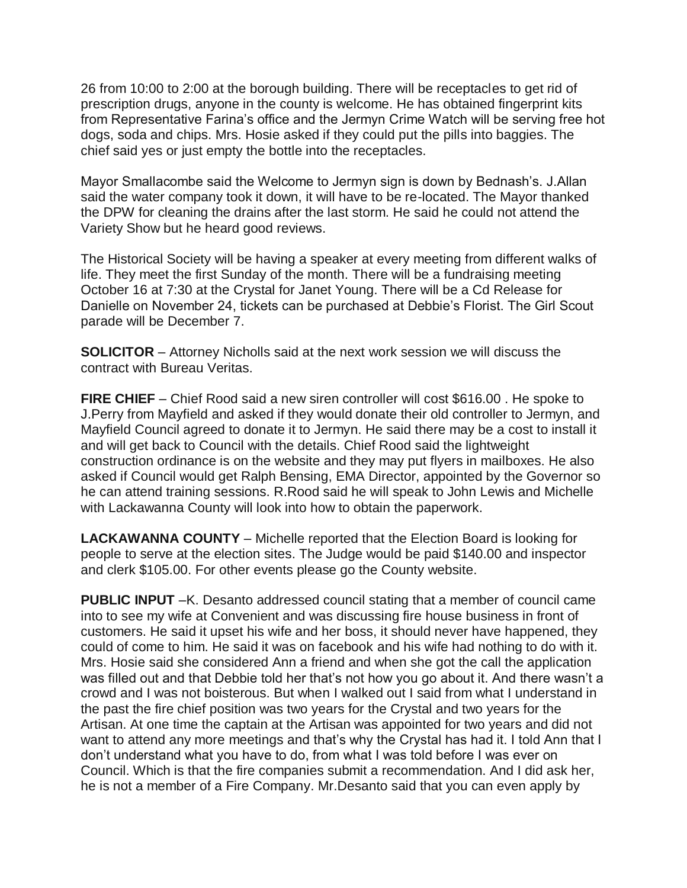26 from 10:00 to 2:00 at the borough building. There will be receptacles to get rid of prescription drugs, anyone in the county is welcome. He has obtained fingerprint kits from Representative Farina's office and the Jermyn Crime Watch will be serving free hot dogs, soda and chips. Mrs. Hosie asked if they could put the pills into baggies. The chief said yes or just empty the bottle into the receptacles.

Mayor Smallacombe said the Welcome to Jermyn sign is down by Bednash's. J.Allan said the water company took it down, it will have to be re-located. The Mayor thanked the DPW for cleaning the drains after the last storm. He said he could not attend the Variety Show but he heard good reviews.

The Historical Society will be having a speaker at every meeting from different walks of life. They meet the first Sunday of the month. There will be a fundraising meeting October 16 at 7:30 at the Crystal for Janet Young. There will be a Cd Release for Danielle on November 24, tickets can be purchased at Debbie's Florist. The Girl Scout parade will be December 7.

**SOLICITOR** – Attorney Nicholls said at the next work session we will discuss the contract with Bureau Veritas.

**FIRE CHIEF** – Chief Rood said a new siren controller will cost \$616.00 . He spoke to J.Perry from Mayfield and asked if they would donate their old controller to Jermyn, and Mayfield Council agreed to donate it to Jermyn. He said there may be a cost to install it and will get back to Council with the details. Chief Rood said the lightweight construction ordinance is on the website and they may put flyers in mailboxes. He also asked if Council would get Ralph Bensing, EMA Director, appointed by the Governor so he can attend training sessions. R.Rood said he will speak to John Lewis and Michelle with Lackawanna County will look into how to obtain the paperwork.

**LACKAWANNA COUNTY** – Michelle reported that the Election Board is looking for people to serve at the election sites. The Judge would be paid \$140.00 and inspector and clerk \$105.00. For other events please go the County website.

**PUBLIC INPUT** –K. Desanto addressed council stating that a member of council came into to see my wife at Convenient and was discussing fire house business in front of customers. He said it upset his wife and her boss, it should never have happened, they could of come to him. He said it was on facebook and his wife had nothing to do with it. Mrs. Hosie said she considered Ann a friend and when she got the call the application was filled out and that Debbie told her that's not how you go about it. And there wasn't a crowd and I was not boisterous. But when I walked out I said from what I understand in the past the fire chief position was two years for the Crystal and two years for the Artisan. At one time the captain at the Artisan was appointed for two years and did not want to attend any more meetings and that's why the Crystal has had it. I told Ann that I don't understand what you have to do, from what I was told before I was ever on Council. Which is that the fire companies submit a recommendation. And I did ask her, he is not a member of a Fire Company. Mr.Desanto said that you can even apply by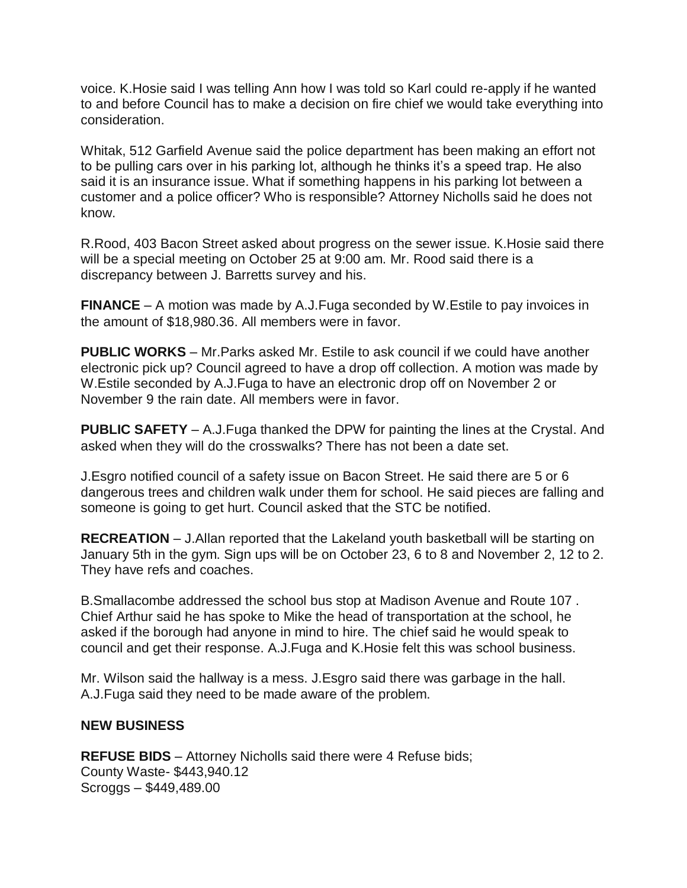voice. K.Hosie said I was telling Ann how I was told so Karl could re-apply if he wanted to and before Council has to make a decision on fire chief we would take everything into consideration.

Whitak, 512 Garfield Avenue said the police department has been making an effort not to be pulling cars over in his parking lot, although he thinks it's a speed trap. He also said it is an insurance issue. What if something happens in his parking lot between a customer and a police officer? Who is responsible? Attorney Nicholls said he does not know.

R.Rood, 403 Bacon Street asked about progress on the sewer issue. K.Hosie said there will be a special meeting on October 25 at 9:00 am. Mr. Rood said there is a discrepancy between J. Barretts survey and his.

**FINANCE** – A motion was made by A.J.Fuga seconded by W.Estile to pay invoices in the amount of \$18,980.36. All members were in favor.

**PUBLIC WORKS** – Mr.Parks asked Mr. Estile to ask council if we could have another electronic pick up? Council agreed to have a drop off collection. A motion was made by W.Estile seconded by A.J.Fuga to have an electronic drop off on November 2 or November 9 the rain date. All members were in favor.

**PUBLIC SAFETY** – A.J.Fuga thanked the DPW for painting the lines at the Crystal. And asked when they will do the crosswalks? There has not been a date set.

J.Esgro notified council of a safety issue on Bacon Street. He said there are 5 or 6 dangerous trees and children walk under them for school. He said pieces are falling and someone is going to get hurt. Council asked that the STC be notified.

**RECREATION** – J.Allan reported that the Lakeland youth basketball will be starting on January 5th in the gym. Sign ups will be on October 23, 6 to 8 and November 2, 12 to 2. They have refs and coaches.

B.Smallacombe addressed the school bus stop at Madison Avenue and Route 107 . Chief Arthur said he has spoke to Mike the head of transportation at the school, he asked if the borough had anyone in mind to hire. The chief said he would speak to council and get their response. A.J.Fuga and K.Hosie felt this was school business.

Mr. Wilson said the hallway is a mess. J.Esgro said there was garbage in the hall. A.J.Fuga said they need to be made aware of the problem.

## **NEW BUSINESS**

**REFUSE BIDS** – Attorney Nicholls said there were 4 Refuse bids; County Waste- \$443,940.12 Scroggs – \$449,489.00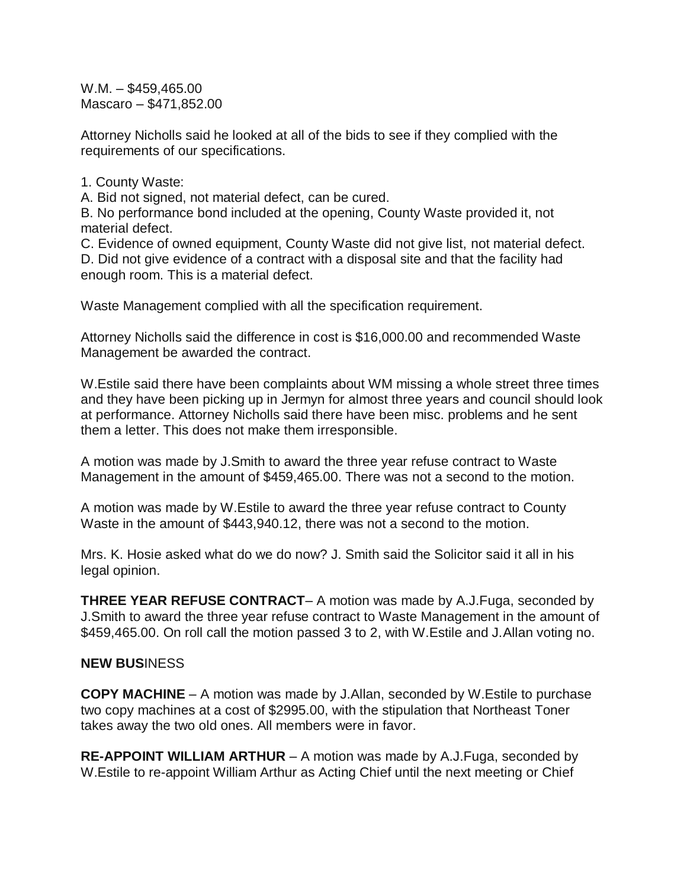W.M. – \$459,465.00 Mascaro – \$471,852.00

Attorney Nicholls said he looked at all of the bids to see if they complied with the requirements of our specifications.

1. County Waste:

A. Bid not signed, not material defect, can be cured.

B. No performance bond included at the opening, County Waste provided it, not material defect.

C. Evidence of owned equipment, County Waste did not give list, not material defect. D. Did not give evidence of a contract with a disposal site and that the facility had enough room. This is a material defect.

Waste Management complied with all the specification requirement.

Attorney Nicholls said the difference in cost is \$16,000.00 and recommended Waste Management be awarded the contract.

W.Estile said there have been complaints about WM missing a whole street three times and they have been picking up in Jermyn for almost three years and council should look at performance. Attorney Nicholls said there have been misc. problems and he sent them a letter. This does not make them irresponsible.

A motion was made by J.Smith to award the three year refuse contract to Waste Management in the amount of \$459,465.00. There was not a second to the motion.

A motion was made by W.Estile to award the three year refuse contract to County Waste in the amount of \$443,940.12, there was not a second to the motion.

Mrs. K. Hosie asked what do we do now? J. Smith said the Solicitor said it all in his legal opinion.

**THREE YEAR REFUSE CONTRACT**– A motion was made by A.J.Fuga, seconded by J.Smith to award the three year refuse contract to Waste Management in the amount of \$459,465.00. On roll call the motion passed 3 to 2, with W.Estile and J.Allan voting no.

## **NEW BUS**INESS

**COPY MACHINE** – A motion was made by J.Allan, seconded by W.Estile to purchase two copy machines at a cost of \$2995.00, with the stipulation that Northeast Toner takes away the two old ones. All members were in favor.

**RE-APPOINT WILLIAM ARTHUR** – A motion was made by A.J.Fuga, seconded by W.Estile to re-appoint William Arthur as Acting Chief until the next meeting or Chief